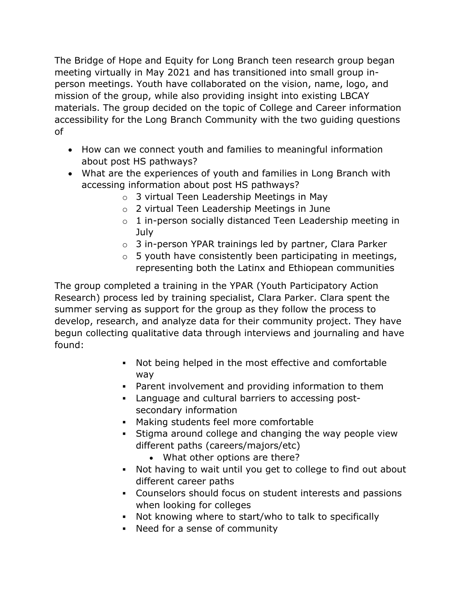The Bridge of Hope and Equity for Long Branch teen research group began meeting virtually in May 2021 and has transitioned into small group inperson meetings. Youth have collaborated on the vision, name, logo, and mission of the group, while also providing insight into existing LBCAY materials. The group decided on the topic of College and Career information accessibility for the Long Branch Community with the two guiding questions of

- How can we connect youth and families to meaningful information about post HS pathways?
- What are the experiences of youth and families in Long Branch with accessing information about post HS pathways?
	- o 3 virtual Teen Leadership Meetings in May
	- o 2 virtual Teen Leadership Meetings in June
	- o 1 in-person socially distanced Teen Leadership meeting in July
	- o 3 in-person YPAR trainings led by partner, Clara Parker
	- $\circ$  5 youth have consistently been participating in meetings, representing both the Latinx and Ethiopean communities

The group completed a training in the YPAR (Youth Participatory Action Research) process led by training specialist, Clara Parker. Clara spent the summer serving as support for the group as they follow the process to develop, research, and analyze data for their community project. They have begun collecting qualitative data through interviews and journaling and have found:

- Not being helped in the most effective and comfortable way
- Parent involvement and providing information to them
- Language and cultural barriers to accessing postsecondary information
- § Making students feel more comfortable
- Stigma around college and changing the way people view different paths (careers/majors/etc)
	- What other options are there?
- Not having to wait until you get to college to find out about different career paths
- § Counselors should focus on student interests and passions when looking for colleges
- Not knowing where to start/who to talk to specifically
- Need for a sense of community